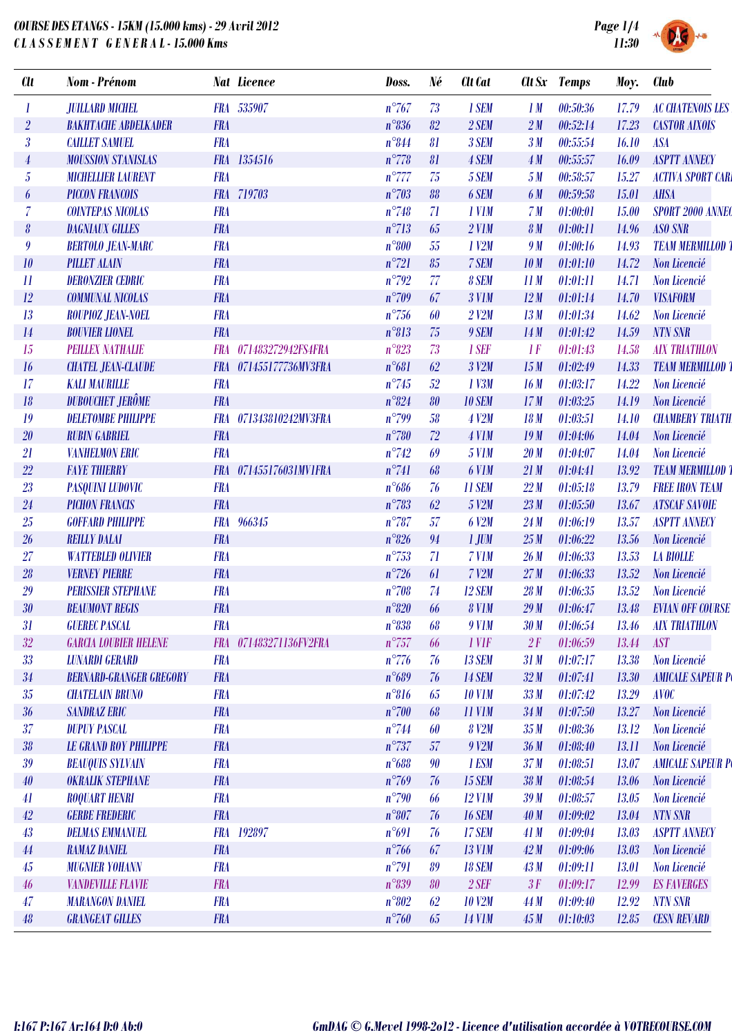## *COURSE DES ETANGS - 15KM (15.000 kms) - 29 Avril 2012 C L A S S E M E N T G E N E R A L - 15.000 Kms*



一

| <b>Clt</b>                | <b>Nom</b> - Prénom            |            | <b>Nat Licence</b>     | Doss.          | Né | Clt Cat             |                 | Clt Sx Temps | Moy.  | <b>Club</b>             |
|---------------------------|--------------------------------|------------|------------------------|----------------|----|---------------------|-----------------|--------------|-------|-------------------------|
|                           | <b>JUILLARD MICHEL</b>         |            | FRA 535907             | $n^{\circ}767$ | 73 | 1 SEM               | 1M              | 00:50:36     | 17.79 | <b>AC CHATENOIS LES</b> |
| $\overline{2}$            | <b>BAKHTACHE ABDELKADER</b>    | <b>FRA</b> |                        | $n^{\circ}836$ | 82 | 2 SEM               | 2M              | 00:52:14     | 17.23 | <b>CASTOR AIXOIS</b>    |
| $\boldsymbol{\beta}$      | <b>CAILLET SAMUEL</b>          | <b>FRA</b> |                        | $n^{\circ}844$ | 81 | 3 SEM               | 3 <sub>M</sub>  | 00:55:54     | 16.10 | <b>ASA</b>              |
| 4                         | <b>MOUSSION STANISLAS</b>      | <b>FRA</b> | 1354516                | $n^{\circ}778$ | 81 | 4 SEM               | 4M              | 00:55:57     | 16.09 | <b>ASPTT ANNECY</b>     |
| $\overline{5}$            | <b>MICHELLIER LAURENT</b>      | <b>FRA</b> |                        | $n^{\circ}777$ | 75 | 5 SEM               | 5M              | 00:58:57     | 15.27 | <b>ACTIVA SPORT CAR</b> |
| 6                         | <b>PICCON FRANCOIS</b>         |            | FRA 719703             | $n^{\circ}703$ | 88 | 6 SEM               | 6 M             | 00:59:58     | 15.01 | <b>AHSA</b>             |
| $\overline{\mathcal{L}}$  | <b>COINTEPAS NICOLAS</b>       | <b>FRA</b> |                        | $n^{\circ}748$ | 71 | 1 V <sub>1</sub> M  | 7 <sub>M</sub>  | 01:00:01     | 15.00 | SPORT 2000 ANNEO        |
| 8                         | <b>DAGNIAUX GILLES</b>         | <b>FRA</b> |                        | $n^{\circ}713$ | 65 | $2$ V1M             | 8 <sub>M</sub>  | 01:00:11     | 14.96 | <b>ASO SNR</b>          |
| 9                         | <b>BERTOLO JEAN-MARC</b>       | <b>FRA</b> |                        | $n^{\circ}800$ | 55 | $1$ $V2M$           | 9 M             | 01:00:16     | 14.93 | <b>TEAM MERMILLOD</b>   |
| 10                        | <b>PILLET ALAIN</b>            | <b>FRA</b> |                        | $n^{\circ}721$ | 85 | 7 SEM               | 10 <sub>M</sub> | 01:01:10     | 14.72 | Non Licencié            |
| $\overline{\mathfrak{u}}$ | <b>DERONZIER CEDRIC</b>        | <b>FRA</b> |                        | $n^{\circ}792$ | 77 | 8 SEM               | 11M             | 01:01:11     | 14.71 | Non Licencié            |
| 12                        | <b>COMMUNAL NICOLAS</b>        | <b>FRA</b> |                        | $n^{\circ}709$ | 67 | 3 V <sub>1</sub> M  | 12M             | 01:01:14     | 14.70 | <b>VISAFORM</b>         |
| 13                        | ROUPIOZ JEAN-NOEL              | <b>FRA</b> |                        | $n^{\circ}756$ | 60 | $2$ $V2M$           | 13M             | 01:01:34     | 14.62 | Non Licencié            |
| 14                        | <b>BOUVIER LIONEL</b>          | <b>FRA</b> |                        | $n^{\circ}813$ | 75 | 9 SEM               | 14M             | 01:01:42     | 14.59 | <b>NTN SNR</b>          |
| 15                        | <b>PEILLEX NATHALIE</b>        | <b>FRA</b> | 071483272942FS4FRA     | $n^{\circ}823$ | 73 | 1 SEF               | 1F              | 01:01:43     | 14.58 | <b>AIX TRIATHLON</b>    |
| 16                        | <b>CHATEL JEAN-CLAUDE</b>      | <b>FRA</b> | 071455177736MV3FRA     | $n^{\circ}681$ | 62 | 3 V2M               | 15M             | 01:02:49     | 14.33 | <b>TEAM MERMILLOD</b>   |
| 17                        | <b>KALI MAURILLE</b>           | <b>FRA</b> |                        | $n^{\circ}745$ | 52 | 1 V3M               | 16M             | 01:03:17     | 14.22 | Non Licencié            |
| 18                        | <b>DUBOUCHET JERÔME</b>        | <b>FRA</b> |                        | $n^{\circ}824$ | 80 | <b>10 SEM</b>       | 17M             | 01:03:25     | 14.19 | Non Licencié            |
| 19                        | <b>DELETOMBE PHILIPPE</b>      | <b>FRA</b> | 071343810242MV3FRA     | $n^{\circ}799$ | 58 | 4 V2M               | 18M             | 01:03:51     | 14.10 | <b>CHAMBERY TRIATH</b>  |
| 20                        | <b>RUBIN GABRIEL</b>           | <b>FRA</b> |                        | $n^{\circ}780$ | 72 | 4 V1M               | 19M             | 01:04:06     | 14.04 | Non Licencié            |
| 21                        | <b>VANHELMON ERIC</b>          | <b>FRA</b> |                        | $n^{\circ}742$ | 69 | <b>5 V1M</b>        | 20 <sub>M</sub> | 01:04:07     | 14.04 | Non Licencié            |
| 22                        | <b>FAYE THIERRY</b>            | <b>FRA</b> | 071455176031MV1FRA     | $n^{\circ}741$ | 68 | 6 V1M               | 21M             | 01:04:41     | 13.92 | <b>TEAM MERMILLOD</b>   |
| 23                        | <b>PASQUINI LUDOVIC</b>        | <b>FRA</b> |                        | $n^{\circ}686$ | 76 | 11 SEM              | 22M             | 01:05:18     | 13.79 | <b>FREE IRON TEAM</b>   |
| 24                        | <b>PICHON FRANCIS</b>          | <b>FRA</b> |                        | $n^{\circ}783$ | 62 | 5 V2M               | 23M             | 01:05:50     | 13.67 | <b>ATSCAF SAVOIE</b>    |
| 25                        | <b>GOFFARD PHILIPPE</b>        | <b>FRA</b> | 966345                 | $n^{\circ}787$ | 57 | 6 V2M               | 24M             | 01:06:19     | 13.57 | <b>ASPTT ANNECY</b>     |
| 26                        | <b>REILLY DALAI</b>            | <b>FRA</b> |                        | $n^{\circ}826$ | 94 | $1$ JUM             | 25M             | 01:06:22     | 13.56 | Non Licencié            |
| 27                        | <b>WATTEBLED OLIVIER</b>       | <b>FRA</b> |                        | $n^{\circ}753$ | 71 | 7 V1M               | 26 <sub>M</sub> | 01:06:33     | 13.53 | <b>LA BIOLLE</b>        |
| 28                        | <b>VERNEY PIERRE</b>           | <b>FRA</b> |                        | $n^{\circ}726$ | 61 | $7$ $V2M$           | 27M             | 01:06:33     | 13.52 | Non Licencié            |
| 29                        | <b>PERISSIER STEPHANE</b>      | <b>FRA</b> |                        | $n^{\circ}708$ | 74 | 12 SEM              | 28 <sub>M</sub> | 01:06:35     | 13.52 | Non Licencié            |
| 30                        | <b>BEAUMONT REGIS</b>          | <b>FRA</b> |                        | $n^{\circ}820$ | 66 | <b>8 V1M</b>        | 29M             | 01:06:47     | 13.48 | <b>EVIAN OFF COURSE</b> |
| 31                        | <b>GUEREC PASCAL</b>           | <b>FRA</b> |                        | $n^{\circ}838$ | 68 | <b>9 V1M</b>        | 30 <sub>M</sub> | 01:06:54     | 13.46 | <b>AIX TRIATHLON</b>    |
| 32                        | <b>GARCIA LOUBIER HELENE</b>   |            | FRA 071483271136FV2FRA | $n^{\circ}757$ | 66 | 1 VIF               | 2F              | 01:06:59     | 13.44 | <b>AST</b>              |
| 33                        | <b>LUNARDI GERARD</b>          | <b>FRA</b> |                        | $n^{\circ}776$ | 76 | <b>13 SEM</b>       | 31M             | 01:07:17     | 13.38 | Non Licencié            |
| 34                        | <b>BERNARD-GRANGER GREGORY</b> | <b>FRA</b> |                        | $n^{\circ}689$ | 76 | <b>14 SEM</b>       | 32M             | 01:07:41     | 13.30 | <b>AMICALE SAPEUR P</b> |
| 35                        | <b>CHATELAIN BRUNO</b>         | <b>FRA</b> |                        | $n^{\circ}816$ | 65 | <b>10 V1M</b>       | 33M             | 01:07:42     | 13.29 | <b>AVOC</b>             |
| 36                        | <b>SANDRAZ ERIC</b>            | <b>FRA</b> |                        | $n^{\circ}700$ | 68 | 11 V <sub>1</sub> M | 34M             | 01:07:50     | 13.27 | Non Licencié            |
| 37                        | <b>DUPUY PASCAL</b>            | <b>FRA</b> |                        | $n^{\circ}744$ | 60 | 8 V2M               | 35M             | 01:08:36     | 13.12 | Non Licencié            |
| 38                        | <b>LE GRAND ROY PHILIPPE</b>   | <b>FRA</b> |                        | $n^{\circ}737$ | 57 | $9$ $V2M$           | 36M             | 01:08:40     | 13.11 | Non Licencié            |
| 39                        | <b>BEAUQUIS SYLVAIN</b>        | <b>FRA</b> |                        | $n^{\circ}688$ | 90 | 1 ESM               | 37M             | 01:08:51     | 13.07 | <b>AMICALE SAPEUR P</b> |
| 40                        | <b>OKRALIK STEPHANE</b>        | <b>FRA</b> |                        | $n^{\circ}769$ | 76 | <b>15 SEM</b>       | 38M             | 01:08:54     | 13.06 | Non Licencié            |
| 41                        | <b>ROQUART HENRI</b>           | <b>FRA</b> |                        | $n^{\circ}790$ | 66 | $12$ V1M            | 39M             | 01:08:57     | 13.05 | Non Licencié            |
| 42                        | <b>GERBE FREDERIC</b>          | <b>FRA</b> |                        | $n^{\circ}807$ | 76 | <b>16 SEM</b>       | 40M             | 01:09:02     | 13.04 | <b>NTN SNR</b>          |
| 43                        | <b>DELMAS EMMANUEL</b>         | <b>FRA</b> | 192897                 | n°691          | 76 | 17 SEM              | 41M             | 01:09:04     | 13.03 | <b>ASPTT ANNECY</b>     |
| 44                        | <b>RAMAZ DANIEL</b>            | <b>FRA</b> |                        | $n^{\circ}766$ | 67 | <b>13 V1M</b>       | 42M             | 01:09:06     | 13.03 | Non Licencié            |
| 45                        | <b>MUGNIER YOHANN</b>          | <b>FRA</b> |                        | $n^{\circ}791$ | 89 | <b>18 SEM</b>       | 43M             | 01:09:11     | 13.01 | Non Licencié            |
| 46                        | <b>VANDEVILLE FLAVIE</b>       | <b>FRA</b> |                        | $n^{\circ}839$ | 80 | $2$ SEF             | 3F              | 01:09:17     | 12.99 | <b>ES FAVERGES</b>      |
| 47                        | <b>MARANGON DANIEL</b>         | <b>FRA</b> |                        | $n^{\circ}802$ | 62 | <b>10 V2M</b>       | 44 M            | 01:09:40     | 12.92 | <b>NTN SNR</b>          |
|                           |                                | <b>FRA</b> |                        |                |    |                     |                 |              |       |                         |
| 48                        | <b>GRANGEAT GILLES</b>         |            |                        | $n^{\circ}760$ | 65 | <b>14 V1M</b>       | 45M             | 01:10:03     | 12.85 | <b>CESN REVARD</b>      |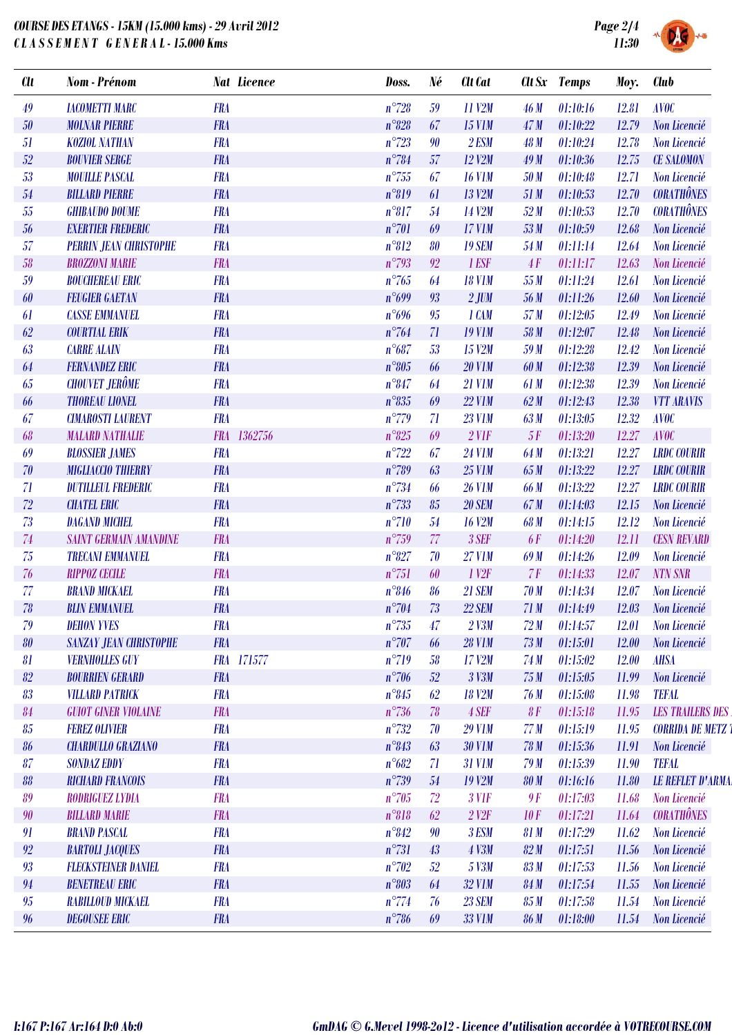## *COURSE DES ETANGS - 15KM (15.000 kms) - 29 Avril 2012 C L A S S E M E N T G E N E R A L - 15.000 Kms*



| <b>Clt</b> | <b>Nom</b> - Prénom           | <b>Nat Licence</b>    | Doss.          | Né | <b>Clt</b> Cat         |             | Clt Sx Temps | Moy.  | <b>Club</b>              |
|------------|-------------------------------|-----------------------|----------------|----|------------------------|-------------|--------------|-------|--------------------------|
| 49         | <b>IACOMETTI MARC</b>         | <b>FRA</b>            | $n^{\circ}728$ | 59 | 11 V2M                 | 46 M        | 01:10:16     | 12.81 | <b>AVOC</b>              |
| 50         | <b>MOLNAR PIERRE</b>          | <b>FRA</b>            | $n^{\circ}828$ | 67 | <b>15 V1M</b>          | 47M         | 01:10:22     | 12.79 | Non Licencié             |
| 51         | <b>KOZIOL NATHAN</b>          | <b>FRA</b>            | $n^{\circ}723$ | 90 | 2 ESM                  | 48 M        | 01:10:24     | 12.78 | <b>Non Licencié</b>      |
| 52         | <b>BOUVIER SERGE</b>          | <b>FRA</b>            | $n^{\circ}784$ | 57 | <b>12 V2M</b>          | 49M         | 01:10:36     | 12.75 | <b>CE SALOMON</b>        |
| 53         | <b>MOUILLE PASCAL</b>         | <b>FRA</b>            | $n^{\circ}755$ | 67 | <b>16 V1M</b>          | 50 M        | 01:10:48     | 12.71 | Non Licencié             |
| 54         | <b>BILLARD PIERRE</b>         | <b>FRA</b>            | $n^{\circ}819$ | 61 | <b>13 V2M</b>          | 51 M        | 01:10:53     | 12.70 | <b>CORATHÔNES</b>        |
| 55         | <b>GHIBAUDO DOUME</b>         | <b>FRA</b>            | $n^{\circ}817$ | 54 | 14 V2M                 | 52M         | 01:10:53     | 12.70 | <b>CORATHÔNES</b>        |
| 56         | <b>EXERTIER FREDERIC</b>      | <b>FRA</b>            | $n^{\circ}701$ | 69 | <b>17 V1M</b>          | 53M         | 01:10:59     | 12.68 | Non Licencié             |
| 57         | <b>PERRIN JEAN CHRISTOPHE</b> | <b>FRA</b>            | $n^{\circ}812$ | 80 | <b>19 SEM</b>          | 54 M        | 01:11:14     | 12.64 | Non Licencié             |
| 58         | <b>BROZZONI MARIE</b>         | <b>FRA</b>            | $n^{\circ}793$ | 92 | 1 ESF                  | 4F          | 01:11:17     | 12.63 | Non Licencié             |
| 59         | <b>BOUCHEREAU ERIC</b>        | <b>FRA</b>            | $n^{\circ}765$ | 64 | <b>18 V1M</b>          | 55 M        | 01:11:24     | 12.61 | Non Licencié             |
| 60         | <b>FEUGIER GAETAN</b>         | <b>FRA</b>            | n°699          | 93 | $2$ JUM                | 56 M        | 01:11:26     | 12.60 | Non Licencié             |
| 61         | <b>CASSE EMMANUEL</b>         | <b>FRA</b>            | $n^{\circ}696$ | 95 | 1 CAM                  | 57 M        | 01:12:05     | 12.49 | Non Licencié             |
| 62         | <b>COURTIAL ERIK</b>          | <b>FRA</b>            | $n^{\circ}764$ | 71 | <b>19 V1M</b>          | 58 M        | 01:12:07     | 12.48 | Non Licencié             |
| 63         | <b>CARRE ALAIN</b>            | <b>FRA</b>            | $n^{\circ}687$ | 53 | 15 V2M                 | 59 M        | 01:12:28     | 12.42 | Non Licencié             |
| 64         | <b>FERNANDEZ ERIC</b>         | <b>FRA</b>            | $n^{\circ}805$ | 66 | <b>20 V1M</b>          | 60 M        | 01:12:38     | 12.39 | Non Licencié             |
| 65         | <b>CHOUVET JERÔME</b>         | <b>FRA</b>            | $n^{\circ}847$ | 64 | <b>21 V1M</b>          | 61 M        | 01:12:38     | 12.39 | Non Licencié             |
| 66         | <b>THOREAU LIONEL</b>         | <b>FRA</b>            | $n^{\circ}835$ | 69 | <b>22 V1M</b>          | 62M         | 01:12:43     | 12.38 | <b>VTT ARAVIS</b>        |
| 67         | <b>CIMAROSTI LAURENT</b>      | <b>FRA</b>            | $n^{\circ}779$ | 71 | <b>23 V1M</b>          | 63 M        | 01:13:05     | 12.32 | <b>AVOC</b>              |
| 68         | <b>MALARD NATHALIE</b>        | 1362756<br><b>FRA</b> | $n^{\circ}825$ | 69 | $2$ V1F                | 5F          | 01:13:20     | 12.27 | <b>AVOC</b>              |
| 69         | <b>BLOSSIER JAMES</b>         | <b>FRA</b>            | $n^{\circ}722$ | 67 | <b>24 V1M</b>          | 64 M        | 01:13:21     | 12.27 | <b>LRDC COURIR</b>       |
| 70         | <b>MIGLIACCIO THIERRY</b>     | <b>FRA</b>            | $n^{\circ}789$ | 63 | <b>25 V1M</b>          | 65 M        | 01:13:22     | 12.27 | <b>LRDC COURIR</b>       |
| 71         | <b>DUTILLEUL FREDERIC</b>     | <b>FRA</b>            | $n^{\circ}734$ | 66 | <b>26 V1M</b>          | 66 M        | 01:13:22     | 12.27 | <b>LRDC COURIR</b>       |
| 72         | <b>CHATEL ERIC</b>            | <b>FRA</b>            | $n^{\circ}733$ | 85 | <b>20 SEM</b>          | 67 M        | 01:14:03     | 12.15 | Non Licencié             |
| 73         | <b>DAGAND MICHEL</b>          | <b>FRA</b>            | $n^{\circ}710$ | 54 | <b>16 V2M</b>          | 68 M        | 01:14:15     | 12.12 | Non Licencié             |
| 74         | <b>SAINT GERMAIN AMANDINE</b> | <b>FRA</b>            | $n^{\circ}759$ | 77 | 3 SEF                  | <b>6F</b>   | 01:14:20     | 12.11 | <b>CESN REVARD</b>       |
| 75         | <b>TRECANI EMMANUEL</b>       | <b>FRA</b>            | $n^{\circ}827$ | 70 | <b>27 V1M</b>          | 69 M        | 01:14:26     | 12.09 | Non Licencié             |
| 76         | <b>RIPPOZ CECILE</b>          | <b>FRA</b>            | $n^{\circ}751$ | 60 | 1 <sup>1</sup>         | 7F          | 01:14:33     | 12.07 | <b>NTN SNR</b>           |
| 77         | <b>BRAND MICKAEL</b>          | <b>FRA</b>            | $n^{\circ}846$ | 86 | <b>21 SEM</b>          | <b>70 M</b> | 01:14:34     | 12.07 | Non Licencié             |
| 78         | <b>BLIN EMMANUEL</b>          | <b>FRA</b>            | $n^{\circ}704$ | 73 | <b>22 SEM</b>          | 71M         | 01:14:49     | 12.03 | Non Licencié             |
| 79         | <b>DEHON YVES</b>             | <b>FRA</b>            | $n^{\circ}735$ | 47 | $2$ V3M                | 72M         | 01:14:57     | 12.01 | Non Licencié             |
| 80         | <b>SANZAY JEAN CHRISTOPHE</b> | <b>FRA</b>            | $n^{\circ}707$ | 66 | <b>28 V1M</b>          | 73M         | 01:15:01     | 12.00 | Non Licencié             |
| 81         | <b>VERNHOLLES GUY</b>         | FRA 171577            | $n^{\circ}719$ | 58 | 17 V2M                 | 74 M        | 01:15:02     | 12.00 | <b>AHSA</b>              |
| 82         | <b>BOURRIEN GERARD</b>        | <b>FRA</b>            | $n^{\circ}706$ | 52 | 3 V3M                  | 75M         | 01:15:05     | 11.99 | Non Licencié             |
| 83         | <b>VILLARD PATRICK</b>        | <b>FRA</b>            | $n^{\circ}845$ | 62 | <b>18 V2M</b>          | 76 M        | 01:15:08     | 11.98 | <b>TEFAL</b>             |
| 84         | <b>GUIOT GINER VIOLAINE</b>   | <b>FRA</b>            | $n^{\circ}736$ | 78 | 4 SEF                  | 8F          | 01:15:18     | 11.95 | <b>LES TRAILERS DES</b>  |
| 85         | <b>FEREZ OLIVIER</b>          | <b>FRA</b>            | $n^{\circ}732$ | 70 | <b>29 V1M</b>          | 77M         | 01:15:19     | 11.95 | <b>CORRIDA DE METZ 1</b> |
| 86         | <b>CHARDULLO GRAZIANO</b>     | <b>FRA</b>            | $n^{\circ}843$ | 63 | <b>30 V1M</b>          | 78 M        | 01:15:36     | 11.91 | Non Licencié             |
| 87         | <b>SONDAZ EDDY</b>            | <b>FRA</b>            | $n^{\circ}682$ | 71 | <b>31 V1M</b>          | 79M         | 01:15:39     | 11.90 | <b>TEFAL</b>             |
| 88         | <b>RICHARD FRANCOIS</b>       | <b>FRA</b>            | $n^{\circ}739$ | 54 | <b>19 V2M</b>          | <b>80 M</b> | 01:16:16     | 11.80 | <b>LE REFLET D'ARMA</b>  |
| 89         | RODRIGUEZ LYDIA               | <b>FRA</b>            | $n^{\circ}705$ | 72 | $3$ V1F                | 9F          | 01:17:03     | 11.68 | Non Licencié             |
| 90         | <b>BILLARD MARIE</b>          | <b>FRA</b>            | $n^{\circ}818$ | 62 | $2$ V <sub>2</sub> $F$ | 10F         | 01:17:21     | 11.64 | <b>CORATHÔNES</b>        |
| 91         | <b>BRAND PASCAL</b>           | <b>FRA</b>            | $n^{\circ}842$ | 90 | 3 ESM                  | 81 M        | 01:17:29     | 11.62 | Non Licencié             |
| 92         | <b>BARTOLI JACQUES</b>        | <b>FRA</b>            | $n^{\circ}731$ | 43 | 4 V3M                  | 82M         | 01:17:51     | 11.56 | Non Licencié             |
| 93         | <b>FLECKSTEINER DANIEL</b>    | <b>FRA</b>            | $n^{\circ}702$ | 52 | 5 V3M                  | 83 M        | 01:17:53     | 11.56 | Non Licencié             |
| 94         | <b>BENETREAU ERIC</b>         | <b>FRA</b>            | $n^{\circ}803$ | 64 | 32 V1M                 | 84 M        | 01:17:54     | 11.55 | Non Licencié             |
| 95         | RABILLOUD MICKAEL             | <b>FRA</b>            | $n^{\circ}774$ | 76 | <b>23 SEM</b>          | 85M         | 01:17:58     | 11.54 | Non Licencié             |
| 96         | <b>DEGOUSEE ERIC</b>          | <b>FRA</b>            | $n^{\circ}786$ | 69 | <b>33 V1M</b>          | <b>86 M</b> | 01:18:00     | 11.54 | Non Licencié             |
|            |                               |                       |                |    |                        |             |              |       |                          |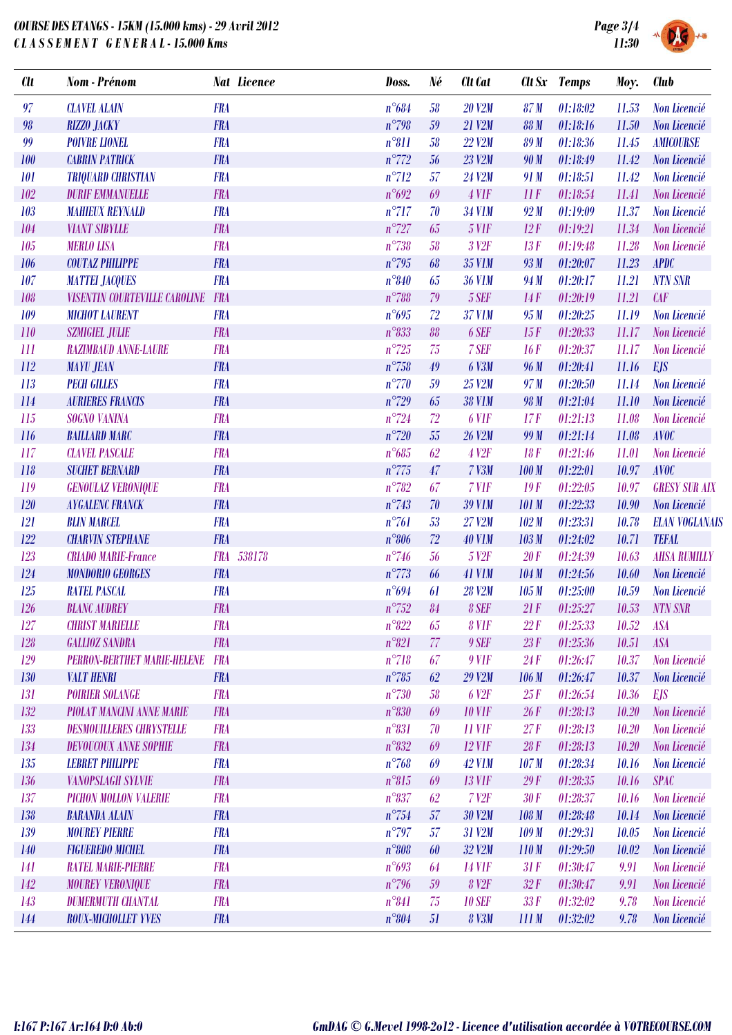## *COURSE DES ETANGS - 15KM (15.000 kms) - 29 Avril 2012 C L A S S E M E N T G E N E R A L - 15.000 Kms*



| <b>Clt</b> | <b>Nom</b> - Prénom                  |            | <b>Nat Licence</b> | Doss.           | Né | Clt Cat           |                  | Clt Sx Temps | Moy.  | <b>Club</b>           |
|------------|--------------------------------------|------------|--------------------|-----------------|----|-------------------|------------------|--------------|-------|-----------------------|
| 97         | <b>CLAVEL ALAIN</b>                  | <b>FRA</b> |                    | $n^{\circ}684$  | 58 | <b>20 V2M</b>     | 87 <sub>M</sub>  | 01:18:02     | 11.53 | Non Licencié          |
| 98         | <b>RIZZO JACKY</b>                   | <b>FRA</b> |                    | $n^{\circ}798$  | 59 | 21 V2M            | <b>88 M</b>      | 01:18:16     | 11.50 | Non Licencié          |
| 99         | <b>POIVRE LIONEL</b>                 | <b>FRA</b> |                    | $n^{\circ}811$  | 58 | <b>22 V2M</b>     | 89 M             | 01:18:36     | 11.45 | <b>AMICOURSE</b>      |
| 100        | <b>CABRIN PATRICK</b>                | <b>FRA</b> |                    | $n^{\circ}772$  | 56 | <b>23 V2M</b>     | 90 M             | 01:18:49     | 11.42 | Non Licencié          |
| 101        | <b>TRIQUARD CHRISTIAN</b>            | <b>FRA</b> |                    | $n^{\circ}712$  | 57 | 24 V2M            | 91 M             | 01:18:51     | 11.42 | Non Licencié          |
| 102        | <b>DURIF EMMANUELLE</b>              | <b>FRA</b> |                    | n°692           | 69 | $4$ V1F           | 11F              | 01:18:54     | 11.41 | Non Licencié          |
| 103        | <b>MAHIEUX REYNALD</b>               | <b>FRA</b> |                    | $n^{\circ}717$  | 70 | <b>34 V1M</b>     | 92M              | 01:19:09     | 11.37 | Non Licencié          |
| 104        | <b>VIANT SIBYLLE</b>                 | <b>FRA</b> |                    | $n^{\circ}727$  | 65 | <b>5 VIF</b>      | 12F              | 01:19:21     | 11.34 | Non Licencié          |
| 105        | <b>MERLO LISA</b>                    | <b>FRA</b> |                    | $n^{\circ}738$  | 58 | 3 <sup>12F</sup>  | 13F              | 01:19:48     | 11.28 | Non Licencié          |
| 106        | <b>COUTAZ PHILIPPE</b>               | <b>FRA</b> |                    | $n^{\circ}795$  | 68 | <b>35 V1M</b>     | 93 M             | 01:20:07     | 11.23 | <b>APDC</b>           |
| 107        | <b>MATTEI JACQUES</b>                | <b>FRA</b> |                    | $n^{\circ}840$  | 65 | <b>36 V1M</b>     | 94 M             | 01:20:17     | 11.21 | <b>NTN SNR</b>        |
| 108        | <b>VISENTIN COURTEVILLE CAROLINE</b> | <b>FRA</b> |                    | $n^{\circ}788$  | 79 | 5 SEF             | 14F              | 01:20:19     | 11.21 | CAF                   |
| 109        | <b>MICHOT LAURENT</b>                | <b>FRA</b> |                    | $n^{\circ}695$  | 72 | <b>37 V1M</b>     | 95 M             | 01:20:25     | 11.19 | Non Licencié          |
| 110        | <b>SZMIGIEL JULIE</b>                | <b>FRA</b> |                    | $n^{\circ}833$  | 88 | 6 SEF             | 15F              | 01:20:33     | 11.17 | Non Licencié          |
| 111        | <b>RAZIMBAUD ANNE-LAURE</b>          | <b>FRA</b> |                    | $n^{\circ}725$  | 75 | 7 SEF             | 16F              | 01:20:37     | 11.17 | Non Licencié          |
| 112        | <b>MAYU JEAN</b>                     | <b>FRA</b> |                    | $n^{\circ}758$  | 49 | 6 V3M             | 96 M             | 01:20:41     | 11.16 | <b>EJS</b>            |
| 113        | <b>PECH GILLES</b>                   | <b>FRA</b> |                    | $n^{\circ}770$  | 59 | 25 V2M            | 97 M             | 01:20:50     | 11.14 | Non Licencié          |
| 114        | <b>AURIERES FRANCIS</b>              | <b>FRA</b> |                    | $n^{\circ}729$  | 65 | <b>38 V1M</b>     | 98 M             | 01:21:04     | 11.10 | Non Licencié          |
| 115        | SOGNO VANINA                         | <b>FRA</b> |                    | $n^{\circ}$ 724 | 72 | 6 VIF             | 17F              | 01:21:13     | 11.08 | Non Licencié          |
| 116        | <b>BAILLARD MARC</b>                 | <b>FRA</b> |                    | $n^{\circ}720$  | 55 | <b>26 V2M</b>     | 99 M             | 01:21:14     | 11.08 | <b>AVOC</b>           |
| 117        | <b>CLAVEL PASCALE</b>                | <b>FRA</b> |                    | $n^{\circ}685$  | 62 | <b>4 V2F</b>      | 18F              | 01:21:46     | 11.01 | Non Licencié          |
| 118        | <b>SUCHET BERNARD</b>                | <b>FRA</b> |                    | $n^{\circ}775$  | 47 | $7$ $V3M$         | 100 M            | 01:22:01     | 10.97 | <b>AVOC</b>           |
| 119        | <b>GENOULAZ VERONIQUE</b>            | <b>FRA</b> |                    | $n^{\circ}782$  | 67 | 7 VIF             | 19F              | 01:22:05     | 10.97 | <b>GRESY SUR AIX</b>  |
| 120        | <b>AYGALENC FRANCK</b>               | <b>FRA</b> |                    | $n^{\circ}743$  | 70 | <b>39 V1M</b>     | <b>101 M</b>     | 01:22:33     | 10.90 | Non Licencié          |
| 121        | <b>BLIN MARCEL</b>                   | <b>FRA</b> |                    | $n^{\circ}761$  | 53 | 27 V2M            | 102M             | 01:23:31     | 10.78 | <b>ELAN VOGLANAIS</b> |
| 122        | <b>CHARVIN STEPHANE</b>              | <b>FRA</b> |                    | $n^{\circ}806$  | 72 | <b>40 V1M</b>     | 103 M            | 01:24:02     | 10.71 | <b>TEFAL</b>          |
| 123        | <b>CRIADO MARIE-France</b>           | <b>FRA</b> | 538178             | $n^{\circ}746$  | 56 | 5 V <sub>2F</sub> | 20F              | 01:24:39     | 10.63 | <b>AHSA RUMILLY</b>   |
| 124        | <b>MONDORIO GEORGES</b>              | <b>FRA</b> |                    | $n^{\circ}773$  | 66 | <b>41 V1M</b>     | 104 M            | 01:24:56     | 10.60 | Non Licencié          |
| 125        | <b>RATEL PASCAL</b>                  | <b>FRA</b> |                    | $n^{\circ}694$  | 61 | <b>28 V2M</b>     | 105M             | 01:25:00     | 10.59 | Non Licencié          |
| 126        | <b>BLANC AUDREY</b>                  | <b>FRA</b> |                    | $n^{\circ}752$  | 84 | 8 SEF             | 21F              | 01:25:27     | 10.53 | <b>NTN SNR</b>        |
| 127        | <b>CHRIST MARIELLE</b>               | <b>FRA</b> |                    | $n^{\circ}822$  | 65 | 8 VIF             | 22F              | 01:25:33     | 10.52 | <b>ASA</b>            |
| 128        | <b>GALLIOZ SANDRA</b>                | <b>FRA</b> |                    | $n^{\circ}821$  | 77 | 9 SEF             | 23F              | 01:25:36     | 10.51 | <b>ASA</b>            |
| 129        | <b>PERRON-BERTHET MARIE-HELENE</b>   | <b>FRA</b> |                    | $n^{\circ}718$  | 67 | $9$ V1F           | 24F              | 01:26:47     | 10.37 | Non Licencié          |
| 130        | <b>VALT HENRI</b>                    | <b>FRA</b> |                    | $n^{\circ}785$  | 62 | 29 V2M            | 106 M            | 01:26:47     | 10.37 | Non Licencié          |
| 131        | <b>POIRIER SOLANGE</b>               | <b>FRA</b> |                    | $n^{\circ}730$  | 58 | 6 V <sub>2F</sub> | 25F              | 01:26:54     | 10.36 | <b>EJS</b>            |
| 132        | <b>PIOLAT MANCINI ANNE MARIE</b>     | <b>FRA</b> |                    | $n^{\circ}830$  | 69 | <b>10 V1F</b>     | 26F              | 01:28:13     | 10.20 | Non Licencié          |
| 133        | <b>DESMOUILLERES CHRYSTELLE</b>      | <b>FRA</b> |                    | $n^{\circ}831$  | 70 | $11$ VIF          | 27F              | 01:28:13     | 10.20 | Non Licencié          |
| 134        | <b>DEVOUCOUX ANNE SOPHIE</b>         | <b>FRA</b> |                    | $n^{\circ}832$  | 69 | <b>12 VIF</b>     | 28F              | 01:28:13     | 10.20 | Non Licencié          |
| 135        | <b>LEBRET PHILIPPE</b>               | <b>FRA</b> |                    | $n^{\circ}768$  | 69 | <b>42 V1M</b>     | 107 <sub>M</sub> | 01:28:34     | 10.16 | Non Licencié          |
| 136        | <b>VANOPSLAGH SYLVIE</b>             | <b>FRA</b> |                    | $n^{\circ}815$  | 69 | <b>13 VIF</b>     | 29F              | 01:28:35     | 10.16 | <b>SPAC</b>           |
| 137        | <b>PICHON MOLLON VALERIE</b>         | <b>FRA</b> |                    | $n^{\circ}837$  | 62 | 7 <sub>Y2F</sub>  | 30F              | 01:28:37     | 10.16 | Non Licencié          |
| 138        | <b>BARANDA ALAIN</b>                 | <b>FRA</b> |                    | $n^{\circ}754$  | 57 | <b>30 V2M</b>     | 108 M            | 01:28:48     | 10.14 | Non Licencié          |
| 139        | <b>MOUREY PIERRE</b>                 | <b>FRA</b> |                    | $n^{\circ}797$  | 57 | 31 V2M            | 109 <sub>M</sub> | 01:29:31     | 10.05 | Non Licencié          |
| 140        | <b>FIGUEREDO MICHEL</b>              | <b>FRA</b> |                    | $n^{\circ}808$  | 60 | 32 V2M            | 110M             | 01:29:50     | 10.02 | Non Licencié          |
| 141        | <b>RATEL MARIE-PIERRE</b>            | <b>FRA</b> |                    | $n^{\circ}693$  | 64 | <b>14 V1F</b>     | 31F              | 01:30:47     | 9.91  | Non Licencié          |
| 142        | <b>MOUREY VERONIQUE</b>              | <b>FRA</b> |                    | $n^{\circ}796$  | 59 | 8 V <sub>2F</sub> | 32F              | 01:30:47     | 9.91  | Non Licencié          |
| 143        | <b>DUMERMUTH CHANTAL</b>             | <b>FRA</b> |                    | $n^{\circ}841$  | 75 | <b>10 SEF</b>     | 33F              | 01:32:02     | 9.78  | Non Licencié          |
| 144        | ROUX-MICHOLLET YVES                  | <b>FRA</b> |                    | $n^{\circ}804$  | 51 | <b>8 V3M</b>      | 111M             | 01:32:02     | 9.78  | Non Licencié          |
|            |                                      |            |                    |                 |    |                   |                  |              |       |                       |